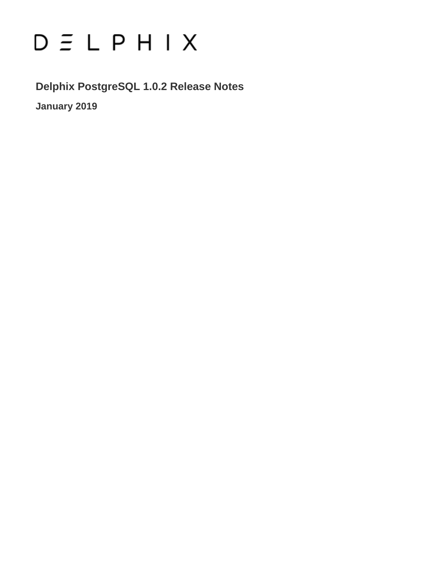# $D \subseteq L$   $P$   $H$   $I$   $X$

**Delphix PostgreSQL 1.0.2 Release Notes**

**January 2019**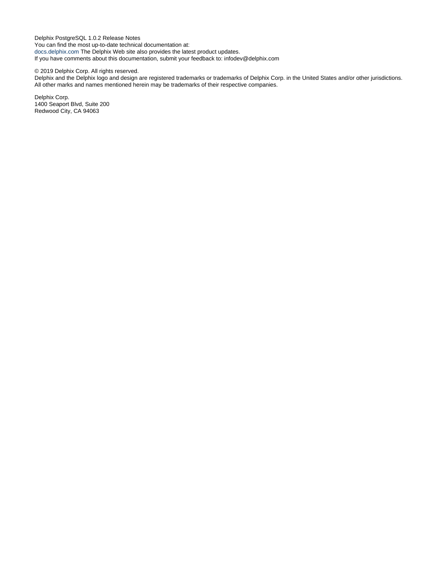Delphix PostgreSQL 1.0.2 Release Notes You can find the most up-to-date technical documentation at: [docs.delphix.com](http://docs.delphix.com) The Delphix Web site also provides the latest product updates. If you have comments about this documentation, submit your feedback to: infodev@delphix.com

#### © 2019 Delphix Corp. All rights reserved.

Delphix and the Delphix logo and design are registered trademarks or trademarks of Delphix Corp. in the United States and/or other jurisdictions. All other marks and names mentioned herein may be trademarks of their respective companies.

Delphix Corp. 1400 Seaport Blvd, Suite 200 Redwood City, CA 94063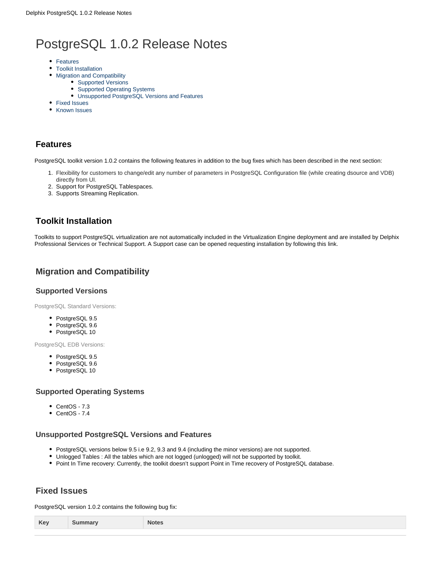# PostgreSQL 1.0.2 Release Notes

- [Features](#page-2-0)
- [Toolkit Installation](#page-2-1)
- [Migration and Compatibility](#page-2-2)
	- [Supported Versions](#page-2-3)
	- [Supported Operating Systems](#page-2-4)
	- [Unsupported PostgreSQL Versions and Features](#page-2-5)
- [Fixed Issues](#page-2-6)
- [Known Issues](#page-3-0)

## <span id="page-2-0"></span>**Features**

PostgreSQL toolkit version 1.0.2 contains the following features in addition to the bug fixes which has been described in the next section:

- 1. Flexibility for customers to change/edit any number of parameters in PostgreSQL Configuration file (while creating dsource and VDB) directly from UI.
- 2. Support for PostgreSQL Tablespaces.
- 3. Supports Streaming Replication.

# <span id="page-2-1"></span>**Toolkit Installation**

Toolkits to support PostgreSQL virtualization are not automatically included in the Virtualization Engine deployment and are installed by Delphix Professional Services or Technical Support. A Support case can be opened requesting installation by following this [link](http://support-tickets.delphix.com/).

# <span id="page-2-2"></span>**Migration and Compatibility**

#### <span id="page-2-3"></span>**Supported Versions**

PostgreSQL Standard Versions:

- PostgreSQL 9.5
- PostgreSQL 9.6
- PostgreSQL 10

PostgreSQL EDB Versions:

- PostgreSQL 9.5
- PostgreSQL 9.6
- PostgreSQL 10

#### <span id="page-2-4"></span>**Supported Operating Systems**

- CentOS 7.3
- CentOS 7.4

#### <span id="page-2-5"></span>**Unsupported PostgreSQL Versions and Features**

- PostgreSQL versions below 9.5 i.e 9.2, 9.3 and 9.4 (including the minor versions) are not supported.
- Unlogged Tables : All the tables which are not logged (unlogged) will not be supported by toolkit.
- Point In Time recovery: Currently, the toolkit doesn't support Point in Time recovery of PostgreSQL database.

### <span id="page-2-6"></span>**Fixed Issues**

PostgreSQL version 1.0.2 contains the following bug fix:

| Ke <sup>'</sup> | Notes.<br>. |
|-----------------|-------------|
|                 |             |